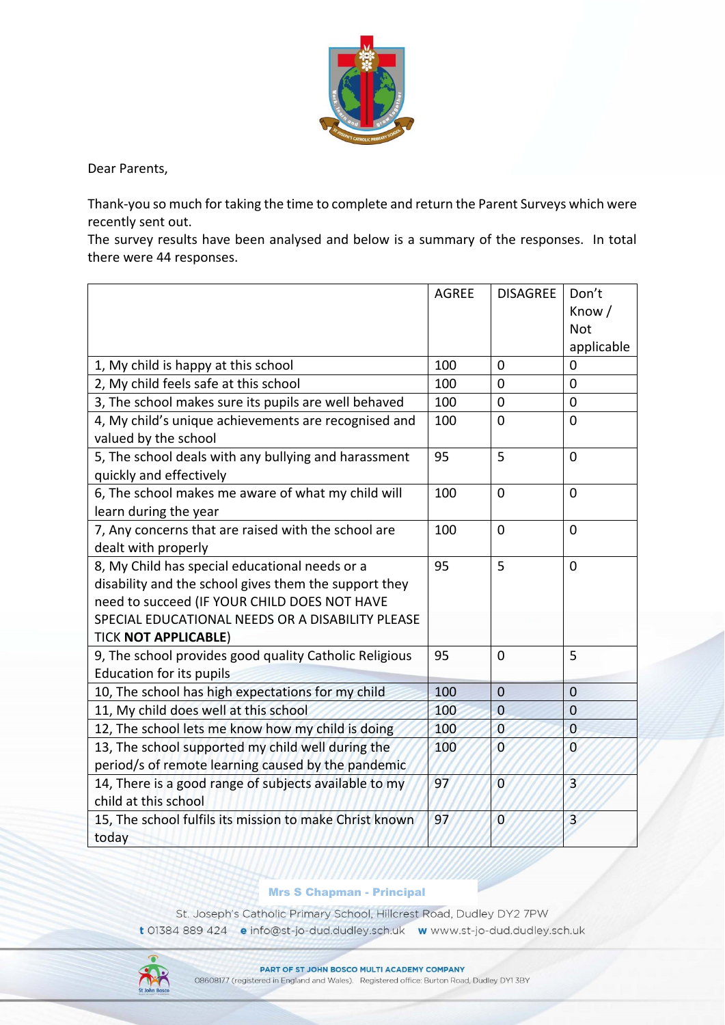

Dear Parents,

Thank-you so much for taking the time to complete and return the Parent Surveys which were recently sent out.

The survey results have been analysed and below is a summary of the responses. In total there were 44 responses.

|                                                                                                                                                                                                                                            | <b>AGREE</b> | <b>DISAGREE</b> | Don't<br>Know /<br><b>Not</b><br>applicable |
|--------------------------------------------------------------------------------------------------------------------------------------------------------------------------------------------------------------------------------------------|--------------|-----------------|---------------------------------------------|
| 1, My child is happy at this school                                                                                                                                                                                                        | 100          | $\mathbf 0$     | 0                                           |
| 2, My child feels safe at this school                                                                                                                                                                                                      | 100          | 0               | 0                                           |
| 3, The school makes sure its pupils are well behaved                                                                                                                                                                                       | 100          | $\mathbf 0$     | $\overline{0}$                              |
| 4, My child's unique achievements are recognised and<br>valued by the school                                                                                                                                                               | 100          | $\mathbf 0$     | $\overline{0}$                              |
| 5, The school deals with any bullying and harassment<br>quickly and effectively                                                                                                                                                            | 95           | 5               | $\overline{0}$                              |
| 6, The school makes me aware of what my child will<br>learn during the year                                                                                                                                                                | 100          | $\mathbf 0$     | $\overline{0}$                              |
| 7, Any concerns that are raised with the school are<br>dealt with properly                                                                                                                                                                 | 100          | $\mathbf 0$     | $\mathbf 0$                                 |
| 8, My Child has special educational needs or a<br>disability and the school gives them the support they<br>need to succeed (IF YOUR CHILD DOES NOT HAVE<br>SPECIAL EDUCATIONAL NEEDS OR A DISABILITY PLEASE<br><b>TICK NOT APPLICABLE)</b> | 95           | 5               | $\overline{0}$                              |
| 9, The school provides good quality Catholic Religious<br><b>Education for its pupils</b>                                                                                                                                                  | 95           | $\mathbf 0$     | 5                                           |
| 10, The school has high expectations for my child                                                                                                                                                                                          | 100          | $\overline{0}$  | $\mathbf 0$                                 |
| 11, My child does well at this school                                                                                                                                                                                                      | 100          | $\mathbf{0}$    | $\mathbf 0$                                 |
| 12, The school lets me know how my child is doing                                                                                                                                                                                          | 100          | $\overline{0}$  | $\overline{0}$                              |
| 13, The school supported my child well during the<br>period/s of remote learning caused by the pandemic                                                                                                                                    | 100          | $\overline{0}$  | $\overline{0}$                              |
| 14, There is a good range of subjects available to my<br>child at this school                                                                                                                                                              | 97           | $\overline{0}$  | $\overline{3}$                              |
| 15, The school fulfils its mission to make Christ known<br>today                                                                                                                                                                           | 97           | $\overline{0}$  | $\overline{3}$                              |

## Mrs S Chapman - Principal

St. Joseph's Catholic Primary School, Hillcrest Road, Dudley DY2 7PW t 01384 889 424 e info@st-jo-dud.dudley.sch.uk www.st-jo-dud.dudley.sch.uk

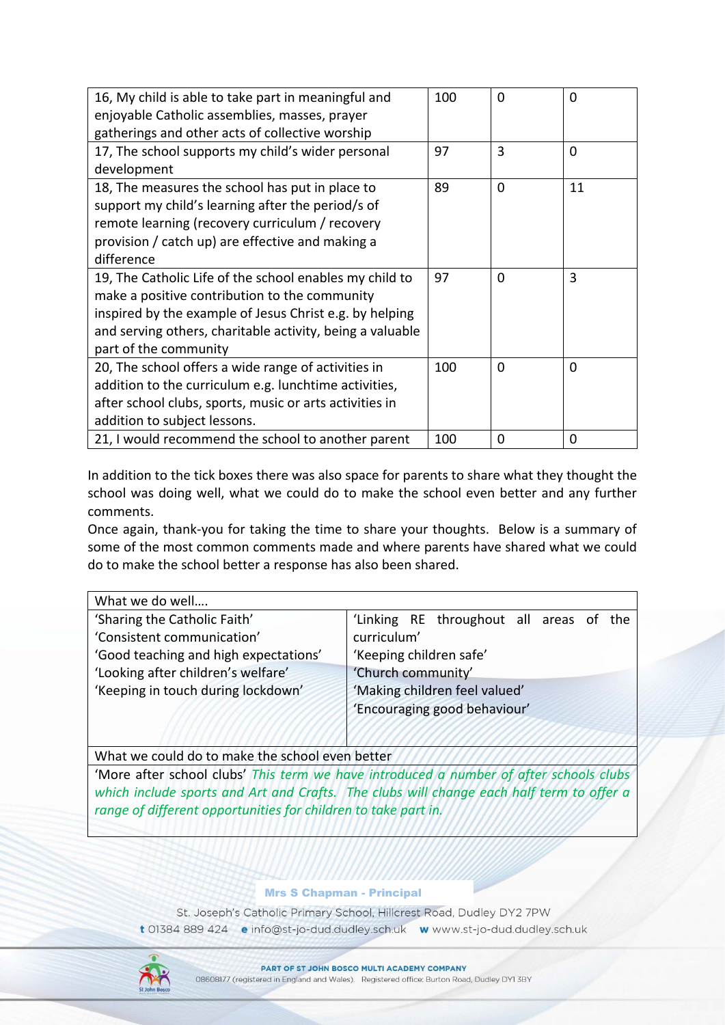| 16, My child is able to take part in meaningful and<br>enjoyable Catholic assemblies, masses, prayer<br>gatherings and other acts of collective worship                                                                                                   | 100 | $\Omega$ | 0  |
|-----------------------------------------------------------------------------------------------------------------------------------------------------------------------------------------------------------------------------------------------------------|-----|----------|----|
| 17, The school supports my child's wider personal<br>development                                                                                                                                                                                          | 97  | 3        | 0  |
| 18, The measures the school has put in place to<br>support my child's learning after the period/s of<br>remote learning (recovery curriculum / recovery<br>provision / catch up) are effective and making a<br>difference                                 | 89  | $\Omega$ | 11 |
| 19, The Catholic Life of the school enables my child to<br>make a positive contribution to the community<br>inspired by the example of Jesus Christ e.g. by helping<br>and serving others, charitable activity, being a valuable<br>part of the community | 97  | 0        | 3  |
| 20, The school offers a wide range of activities in<br>addition to the curriculum e.g. lunchtime activities,<br>after school clubs, sports, music or arts activities in<br>addition to subject lessons.                                                   | 100 | 0        | 0  |
| 21, I would recommend the school to another parent                                                                                                                                                                                                        | 100 | 0        | 0  |

In addition to the tick boxes there was also space for parents to share what they thought the school was doing well, what we could do to make the school even better and any further comments.

Once again, thank-you for taking the time to share your thoughts. Below is a summary of some of the most common comments made and where parents have shared what we could do to make the school better a response has also been shared.

| What we do well                       |                                         |  |  |
|---------------------------------------|-----------------------------------------|--|--|
| 'Sharing the Catholic Faith'          | 'Linking RE throughout all areas of the |  |  |
| 'Consistent communication'            | curriculum'                             |  |  |
| 'Good teaching and high expectations' | 'Keeping children safe'                 |  |  |
| 'Looking after children's welfare'    | 'Church community'                      |  |  |
| 'Keeping in touch during lockdown'    | 'Making children feel valued'           |  |  |
|                                       | 'Encouraging good behaviour'            |  |  |
|                                       |                                         |  |  |
|                                       |                                         |  |  |

What we could do to make the school even better

'More after school clubs' *This term we have introduced a number of after schools clubs which include sports and Art and Crafts. The clubs will change each half term to offer a range of different opportunities for children to take part in.*

## Mrs S Chapman - Principal

St. Joseph's Catholic Primary School, Hillcrest Road, Dudley DY2 7PW t 01384 889 424 e info@st-jo-dud.dudley.sch.uk w www.st-jo-dud.dudley.sch.uk

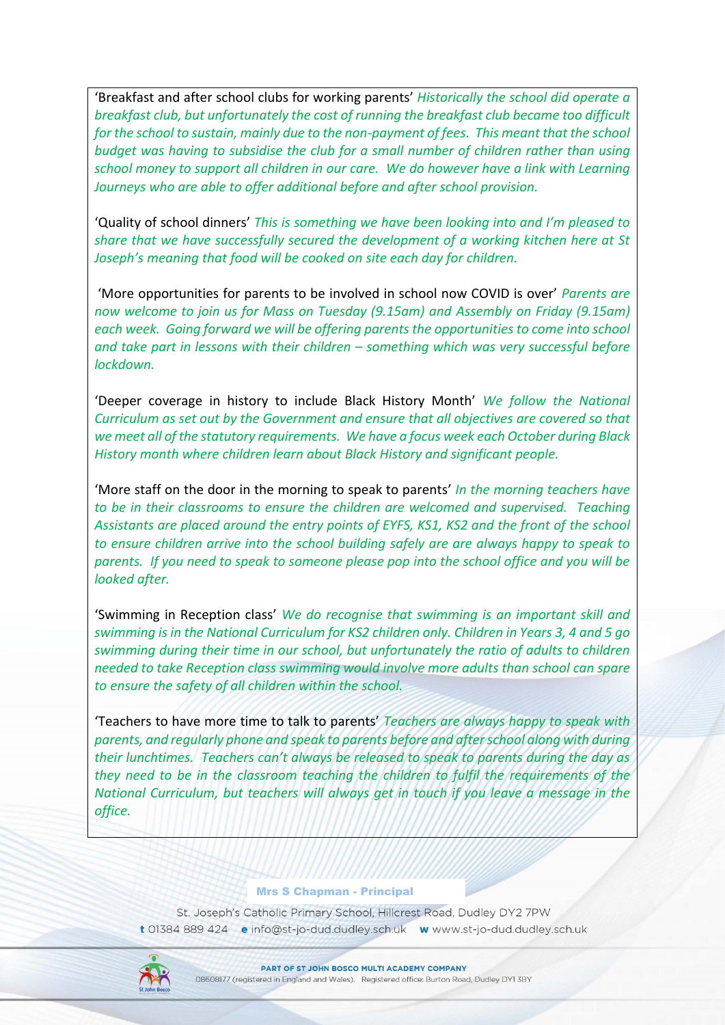'Breakfast and after school clubs for working parents' *Historically the school did operate a breakfast club, but unfortunately the cost of running the breakfast club became too difficult for the school to sustain, mainly due to the non-payment of fees. This meant that the school budget was having to subsidise the club for a small number of children rather than using school money to support all children in our care. We do however have a link with Learning Journeys who are able to offer additional before and after school provision.*

'Quality of school dinners' *This is something we have been looking into and I'm pleased to share that we have successfully secured the development of a working kitchen here at St Joseph's meaning that food will be cooked on site each day for children.*

'More opportunities for parents to be involved in school now COVID is over' *Parents are now welcome to join us for Mass on Tuesday (9.15am) and Assembly on Friday (9.15am) each week. Going forward we will be offering parents the opportunities to come into school and take part in lessons with their children – something which was very successful before lockdown.*

'Deeper coverage in history to include Black History Month' *We follow the National Curriculum as set out by the Government and ensure that all objectives are covered so that we meet all of the statutory requirements. We have a focus week each October during Black History month where children learn about Black History and significant people.*

'More staff on the door in the morning to speak to parents' *In the morning teachers have to be in their classrooms to ensure the children are welcomed and supervised. Teaching Assistants are placed around the entry points of EYFS, KS1, KS2 and the front of the school to ensure children arrive into the school building safely are are always happy to speak to parents. If you need to speak to someone please pop into the school office and you will be looked after.*

'Swimming in Reception class' *We do recognise that swimming is an important skill and swimming is in the National Curriculum for KS2 children only. Children in Years 3, 4 and 5 go swimming during their time in our school, but unfortunately the ratio of adults to children needed to take Reception class swimming would involve more adults than school can spare to ensure the safety of all children within the school.*

'Teachers to have more time to talk to parents' *Teachers are always happy to speak with parents, and regularly phone and speak to parents before and after school along with during their lunchtimes. Teachers can't always be released to speak to parents during the day as they need to be in the classroom teaching the children to fulfil the requirements of the National Curriculum, but teachers will always get in touch if you leave a message in the office.*

## Mrs S Chapman - Principal

St. Joseph's Catholic Primary School, Hillcrest Road, Dudley DY2 7PW t 01384 889 424 e info@st-jo-dud.dudley.sch.uk w www.st-jo-dud.dudley.sch.uk